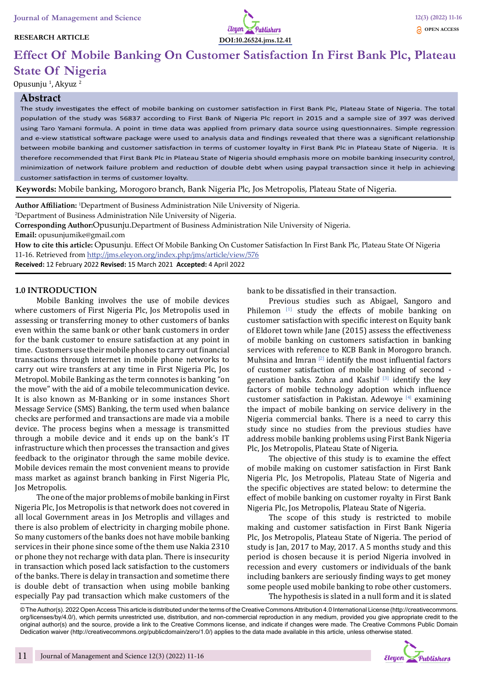## **RESEARCH ARTICLE**



# **Effect Of Mobile Banking On Customer Satisfaction In First Bank Plc, Plateau State Of Nigeria**

Opusunju <sup>1</sup>, Akyuz <sup>2</sup>

#### **Abstract**

The study investigates the effect of mobile banking on customer satisfaction in First Bank Plc, Plateau State of Nigeria. The total population of the study was 56837 according to First Bank of Nigeria Plc report in 2015 and a sample size of 397 was derived using Taro Yamani formula. A point in time data was applied from primary data source using questionnaires. Simple regression and e-view statistical software package were used to analysis data and findings revealed that there was a significant relationship between mobile banking and customer satisfaction in terms of customer loyalty in First Bank Plc in Plateau State of Nigeria. It is therefore recommended that First Bank Plc in Plateau State of Nigeria should emphasis more on mobile banking insecurity control, minimization of network failure problem and reduction of double debt when using paypal transaction since it help in achieving customer satisfaction in terms of customer loyalty.

**Keywords:** Mobile banking, Morogoro branch, Bank Nigeria Plc, Jos Metropolis, Plateau State of Nigeria.

**Author Affiliation:** <sup>1</sup> Department of Business Administration Nile University of Nigeria.

2 Department of Business Administration Nile University of Nigeria.

**Corresponding Author:**Opusunju.Department of Business Administration Nile University of Nigeria.

**Email:** opusunjumike@gmail.com

**How to cite this article:** Opusunju. Effect Of Mobile Banking On Customer Satisfaction In First Bank Plc, Plateau State Of Nigeria 11-16. Retrieved from http://jms.eleyon.org/index.php/jms/article/view/576

**Received:** 12 February 2022 **Revised:** 15 March 2021 **Accepted:** 4 April 2022

#### **1.0 INTRODUCTION**

Mobile Banking involves the use of mobile devices where customers of First Nigeria Plc, Jos Metropolis used in assessing or transferring money to other customers of banks even within the same bank or other bank customers in order for the bank customer to ensure satisfaction at any point in time. Customers use their mobile phones to carry out financial transactions through internet in mobile phone networks to carry out wire transfers at any time in First Nigeria Plc, Jos Metropol. Mobile Banking as the term connotes is banking "on the move" with the aid of a mobile telecommunication device. It is also known as M-Banking or in some instances Short Message Service (SMS) Banking, the term used when balance checks are performed and transactions are made via a mobile device. The process begins when a message is transmitted through a mobile device and it ends up on the bank's IT infrastructure which then processes the transaction and gives feedback to the originator through the same mobile device. Mobile devices remain the most convenient means to provide mass market as against branch banking in First Nigeria Plc, Jos Metropolis.

The one of the major problems of mobile banking in First Nigeria Plc, Jos Metropolis is that network does not covered in all local Government areas in Jos Metroplis and villages and there is also problem of electricity in charging mobile phone. So many customers of the banks does not have mobile banking services in their phone since some of the them use Nakia 2310 or phone they not recharge with data plan. There is insecurity in transaction which posed lack satisfaction to the customers of the banks. There is delay in transaction and sometime there is double debt of transaction when using mobile banking especially Pay pad transaction which make customers of the

bank to be dissatisfied in their transaction.

Previous studies such as Abigael, Sangoro and Philemon [1] study the effects of mobile banking on customer satisfaction with specific interest on Equity bank of Eldoret town while Jane (2015) assess the effectiveness of mobile banking on customers satisfaction in banking services with reference to KCB Bank in Morogoro branch. Muhsina and Imran [2] identify the most influential factors of customer satisfaction of mobile banking of second generation banks. Zohra and Kashif  $[3]$  identify the key factors of mobile technology adoption which influence customer satisfaction in Pakistan. Adewoye [4] examining the impact of mobile banking on service delivery in the Nigeria commercial banks. There is a need to carry this study since no studies from the previous studies have address mobile banking problems using First Bank Nigeria Plc, Jos Metropolis, Plateau State of Nigeria.

The objective of this study is to examine the effect of mobile making on customer satisfaction in First Bank Nigeria Plc, Jos Metropolis, Plateau State of Nigeria and the specific objectives are stated below: to determine the effect of mobile banking on customer royalty in First Bank Nigeria Plc, Jos Metropolis, Plateau State of Nigeria.

The scope of this study is restricted to mobile making and customer satisfaction in First Bank Nigeria Plc, Jos Metropolis, Plateau State of Nigeria. The period of study is Jan, 2017 to May, 2017. A 5 months study and this period is chosen because it is period Nigeria involved in recession and every customers or individuals of the bank including bankers are seriously finding ways to get money some people used mobile banking to robe other customers. The hypothesis is slated in a null form and it is slated

© The Author(s). 2022 Open Access This article is distributed under the terms of the Creative Commons Attribution 4.0 International License (http://creativecommons. org/licenses/by/4.0/), which permits unrestricted use, distribution, and non-commercial reproduction in any medium, provided you give appropriate credit to the original author(s) and the source, provide a link to the Creative Commons license, and indicate if changes were made. The Creative Commons Public Domain Dedication waiver (http://creativecommons.org/publicdomain/zero/1.0/) applies to the data made available in this article, unless otherwise stated.

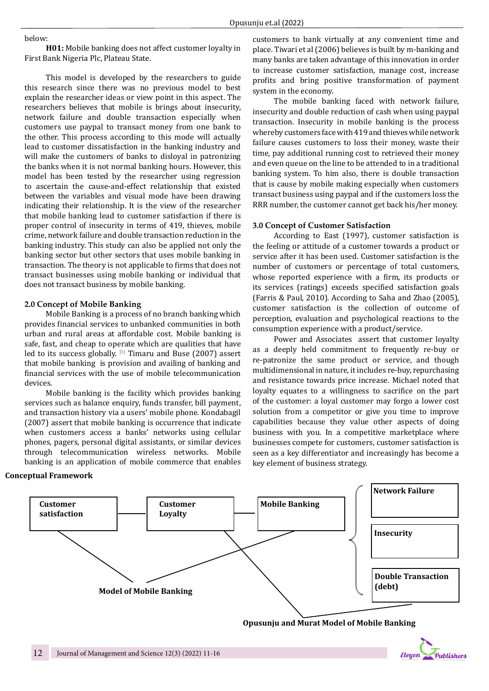#### below:

**H01:** Mobile banking does not affect customer loyalty in First Bank Nigeria Plc, Plateau State.

This model is developed by the researchers to guide this research since there was no previous model to best explain the researcher ideas or view point in this aspect. The researchers believes that mobile is brings about insecurity, network failure and double transaction especially when customers use paypal to transact money from one bank to the other. This process according to this mode will actually lead to customer dissatisfaction in the banking industry and will make the customers of banks to disloyal in patronizing the banks when it is not normal banking hours. However, this model has been tested by the researcher using regression to ascertain the cause-and-effect relationship that existed between the variables and visual mode have been drawing indicating their relationship. It is the view of the researcher that mobile banking lead to customer satisfaction if there is proper control of insecurity in terms of 419, thieves, mobile crime, network failure and double transaction reduction in the banking industry. This study can also be applied not only the banking sector but other sectors that uses mobile banking in transaction. The theory is not applicable to firms that does not transact businesses using mobile banking or individual that does not transact business by mobile banking.

#### **2.0 Concept of Mobile Banking**

Mobile Banking is a process of no branch banking which provides financial services to unbanked communities in both urban and rural areas at affordable cost. Mobile banking is safe, fast, and cheap to operate which are qualities that have led to its success globally.  $[5]$  Timaru and Buse (2007) assert that mobile banking is provision and availing of banking and financial services with the use of mobile telecommunication devices.

Mobile banking is the facility which provides banking services such as balance enquiry, funds transfer, bill payment, and transaction history via a users' mobile phone. Kondabagil (2007) assert that mobile banking is occurrence that indicate when customers access a banks' networks using cellular phones, pagers, personal digital assistants, or similar devices through telecommunication wireless networks. Mobile banking is an application of mobile commerce that enables

#### **Conceptual Framework**

customers to bank virtually at any convenient time and place. Tiwari et al (2006) believes is built by m-banking and many banks are taken advantage of this innovation in order to increase customer satisfaction, manage cost, increase profits and bring positive transformation of payment system in the economy.

The mobile banking faced with network failure, insecurity and double reduction of cash when using paypal transaction. Insecurity in mobile banking is the process whereby customers face with 419 and thieves while network failure causes customers to loss their money, waste their time, pay additional running cost to retrieved their money and even queue on the line to be attended to in a traditional banking system. To him also, there is double transaction that is cause by mobile making especially when customers transact business using paypal and if the customers loss the RRR number, the customer cannot get back his/her money.

#### **3.0 Concept of Customer Satisfaction**

According to East (1997), customer satisfaction is the feeling or attitude of a customer towards a product or service after it has been used. Customer satisfaction is the number of customers or percentage of total customers, whose reported experience with a firm, its products or its services (ratings) exceeds specified satisfaction goals (Farris & Paul, 2010). According to Saha and Zhao (2005), customer satisfaction is the collection of outcome of perception, evaluation and psychological reactions to the consumption experience with a product/service.

Power and Associates assert that customer loyalty as a deeply held commitment to frequently re-buy or re-patronize the same product or service, and though multidimensional in nature, it includes re-buy, repurchasing and resistance towards price increase. Michael noted that loyalty equates to a willingness to sacrifice on the part of the customer: a loyal customer may forgo a lower cost solution from a competitor or give you time to improve capabilities because they value other aspects of doing business with you. In a competitive marketplace where businesses compete for customers, customer satisfaction is seen as a key differentiator and increasingly has become a key element of business strategy.



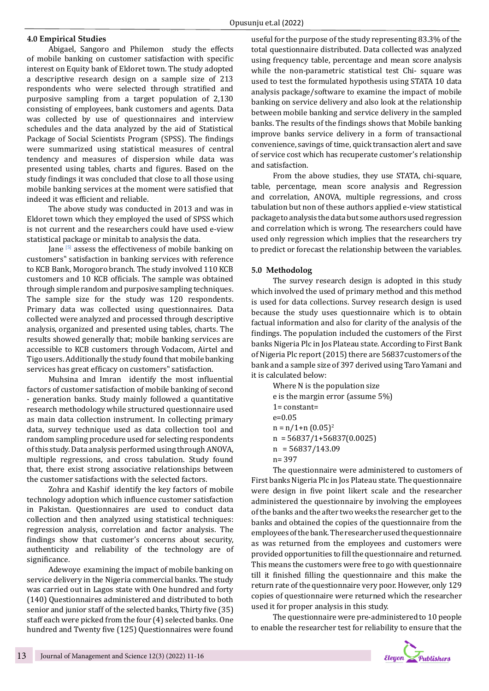## **4.0 Empirical Studies**

Abigael, Sangoro and Philemon study the effects of mobile banking on customer satisfaction with specific interest on Equity bank of Eldoret town. The study adopted a descriptive research design on a sample size of 213 respondents who were selected through stratified and purposive sampling from a target population of 2,130 consisting of employees, bank customers and agents. Data was collected by use of questionnaires and interview schedules and the data analyzed by the aid of Statistical Package of Social Scientists Program (SPSS). The findings were summarized using statistical measures of central tendency and measures of dispersion while data was presented using tables, charts and figures. Based on the study findings it was concluded that close to all those using mobile banking services at the moment were satisfied that indeed it was efficient and reliable.

The above study was conducted in 2013 and was in Eldoret town which they employed the used of SPSS which is not current and the researchers could have used e-view statistical package or minitab to analysis the data.

Jane [5] assess the effectiveness of mobile banking on customers" satisfaction in banking services with reference to KCB Bank, Morogoro branch. The study involved 110 KCB customers and 10 KCB officials. The sample was obtained through simple random and purposive sampling techniques. The sample size for the study was 120 respondents. Primary data was collected using questionnaires. Data collected were analyzed and processed through descriptive analysis, organized and presented using tables, charts. The results showed generally that; mobile banking services are accessible to KCB customers through Vodacom, Airtel and Tigo users. Additionally the study found that mobile banking services has great efficacy on customers" satisfaction.

Muhsina and Imran identify the most influential factors of customer satisfaction of mobile banking of second - generation banks. Study mainly followed a quantitative research methodology while structured questionnaire used as main data collection instrument. In collecting primary data, survey technique used as data collection tool and random sampling procedure used for selecting respondents of this study. Data analysis performed using through ANOVA, multiple regressions, and cross tabulation. Study found that, there exist strong associative relationships between the customer satisfactions with the selected factors.

Zohra and Kashif identify the key factors of mobile technology adoption which influence customer satisfaction in Pakistan. Questionnaires are used to conduct data collection and then analyzed using statistical techniques: regression analysis, correlation and factor analysis. The findings show that customer's concerns about security, authenticity and reliability of the technology are of significance.

Adewoye examining the impact of mobile banking on service delivery in the Nigeria commercial banks. The study was carried out in Lagos state with One hundred and forty (140) Questionnaires administered and distributed to both senior and junior staff of the selected banks, Thirty five (35) staff each were picked from the four (4) selected banks. One hundred and Twenty five (125) Questionnaires were found

useful for the purpose of the study representing 83.3% of the total questionnaire distributed. Data collected was analyzed using frequency table, percentage and mean score analysis while the non-parametric statistical test Chi- square was used to test the formulated hypothesis using STATA 10 data analysis package/software to examine the impact of mobile banking on service delivery and also look at the relationship between mobile banking and service delivery in the sampled banks. The results of the findings shows that Mobile banking improve banks service delivery in a form of transactional convenience, savings of time, quick transaction alert and save of service cost which has recuperate customer's relationship and satisfaction.

From the above studies, they use STATA, chi-square, table, percentage, mean score analysis and Regression and correlation, ANOVA, multiple regressions, and cross tabulation but non of these authors applied e-view statistical package to analysis the data but some authors used regression and correlation which is wrong. The researchers could have used only regression which implies that the researchers try to predict or forecast the relationship between the variables.

## **5.0 Methodolog**

The survey research design is adopted in this study which involved the used of primary method and this method is used for data collections. Survey research design is used because the study uses questionnaire which is to obtain factual information and also for clarity of the analysis of the findings. The population included the customers of the First banks Nigeria Plc in Jos Plateau state. According to First Bank of Nigeria Plc report (2015) there are 56837customers of the bank and a sample size of 397 derived using Taro Yamani and it is calculated below:

Where N is the population size e is the margin error (assume 5%) 1= constant= e=0.05  $n = n/1+n (0.05)^2$  $n = 56837/1+56837(0.0025)$  $n = 56837/143.09$ n= 397

The questionnaire were administered to customers of First banks Nigeria Plc in Jos Plateau state. The questionnaire were design in five point likert scale and the researcher administered the questionnaire by involving the employees of the banks and the after two weeks the researcher get to the banks and obtained the copies of the questionnaire from the employees of the bank. The researcher used the questionnaire as was returned from the employees and customers were provided opportunities to fill the questionnaire and returned. This means the customers were free to go with questionnaire till it finished filling the questionnaire and this make the return rate of the questionnaire very poor. However, only 129 copies of questionnaire were returned which the researcher used it for proper analysis in this study.

The questionnaire were pre-administered to 10 people to enable the researcher test for reliability to ensure that the

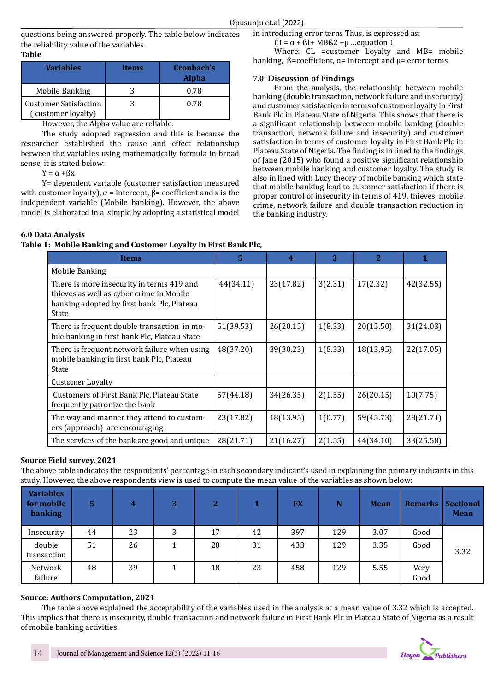questions being answered properly. The table below indicates the reliability value of the variables.

# **Table**

| <b>Variables</b>                                   | <b>Items</b> | Cronbach's<br><b>Alpha</b> |
|----------------------------------------------------|--------------|----------------------------|
| Mobile Banking                                     |              | 0.78                       |
| <b>Customer Satisfaction</b><br>(customer loyalty) |              | 0.78                       |

However, the Alpha value are reliable.

The study adopted regression and this is because the researcher established the cause and effect relationship between the variables using mathematically formula in broad sense, it is stated below:

 $Y = \alpha + \beta x$ 

Y= dependent variable (customer satisfaction measured with customer loyalty),  $\alpha$  = intercept,  $\beta$ = coefficient and x is the independent variable (Mobile banking). However, the above model is elaborated in a simple by adopting a statistical model in introducing error terns Thus, is expressed as:

CL= $\alpha$  +  $\beta$ I + MB $\beta$ 2 + $\mu$  ... equation 1

Where: CL = customer Loyalty and MB= mobile banking,  $\beta$ =coefficient,  $\alpha$ = Intercept and  $\mu$ = error terms

# **7.0 Discussion of Findings**

From the analysis, the relationship between mobile banking (double transaction, network failure and insecurity) and customer satisfaction in terms of customer loyalty in First Bank Plc in Plateau State of Nigeria. This shows that there is a significant relationship between mobile banking (double transaction, network failure and insecurity) and customer satisfaction in terms of customer loyalty in First Bank Plc in Plateau State of Nigeria. The finding is in lined to the findings of Jane (2015) who found a positive significant relationship between mobile banking and customer loyalty. The study is also in lined with Lucy theory of mobile banking which state that mobile banking lead to customer satisfaction if there is proper control of insecurity in terms of 419, thieves, mobile crime, network failure and double transaction reduction in the banking industry.

# **6.0 Data Analysis**

# **Table 1: Mobile Banking and Customer Loyalty in First Bank Plc,**

| <b>Items</b>                                                                                                                                 | 5         | $\overline{\mathbf{4}}$ | 3       | $\overline{2}$ |           |
|----------------------------------------------------------------------------------------------------------------------------------------------|-----------|-------------------------|---------|----------------|-----------|
| Mobile Banking                                                                                                                               |           |                         |         |                |           |
| There is more insecurity in terms 419 and<br>thieves as well as cyber crime in Mobile<br>banking adopted by first bank Plc, Plateau<br>State | 44(34.11) | 23(17.82)               | 3(2.31) | 17(2.32)       | 42(32.55) |
| There is frequent double transaction in mo-<br>bile banking in first bank Plc, Plateau State                                                 | 51(39.53) | 26(20.15)               | 1(8.33) | 20(15.50)      | 31(24.03) |
| There is frequent network failure when using<br>mobile banking in first bank Plc, Plateau<br>State                                           | 48(37.20) | 39(30.23)               | 1(8.33) | 18(13.95)      | 22(17.05) |
| <b>Customer Loyalty</b>                                                                                                                      |           |                         |         |                |           |
| Customers of First Bank Plc, Plateau State<br>frequently patronize the bank                                                                  | 57(44.18) | 34(26.35)               | 2(1.55) | 26(20.15)      | 10(7.75)  |
| The way and manner they attend to custom-<br>ers (approach) are encouraging                                                                  | 23(17.82) | 18(13.95)               | 1(0.77) | 59(45.73)      | 28(21.71) |
| The services of the bank are good and unique                                                                                                 | 28(21.71) | 21(16.27)               | 2(1.55) | 44(34.10)      | 33(25.58) |

# **Source Field survey, 2021**

The above table indicates the respondents' percentage in each secondary indicant's used in explaining the primary indicants in this study. However, the above respondents view is used to compute the mean value of the variables as shown below:

| <b>Variables</b><br>for mobile<br><b>banking</b> | 5  | 4  | 3 | $\overline{2}$ |    | <b>FX</b> | N   | <b>Mean</b> | <b>Remarks</b> | <b>Sectional</b><br><b>Mean</b> |
|--------------------------------------------------|----|----|---|----------------|----|-----------|-----|-------------|----------------|---------------------------------|
| Insecurity                                       | 44 | 23 | 3 | 17             | 42 | 397       | 129 | 3.07        | Good           |                                 |
| double<br>transaction                            | 51 | 26 |   | 20             | 31 | 433       | 129 | 3.35        | Good           | 3.32                            |
| Network<br>failure                               | 48 | 39 |   | 18             | 23 | 458       | 129 | 5.55        | Very<br>Good   |                                 |

# **Source: Authors Computation, 2021**

The table above explained the acceptability of the variables used in the analysis at a mean value of 3.32 which is accepted. This implies that there is insecurity, double transaction and network failure in First Bank Plc in Plateau State of Nigeria as a result of mobile banking activities.

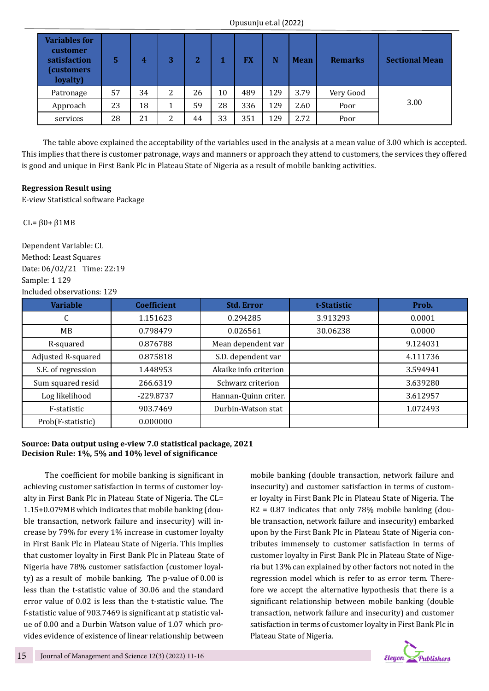| <b>Variables for</b><br>customer<br>satisfaction<br>customers)<br>loyalty) | 5  | 4  | 3 | າ<br>ı. |    | FX  |     | <b>Mean</b> | <b>Remarks</b> | <b>Sectional Mean</b> |  |
|----------------------------------------------------------------------------|----|----|---|---------|----|-----|-----|-------------|----------------|-----------------------|--|
| Patronage                                                                  | 57 | 34 | 2 | 26      | 10 | 489 | 129 | 3.79        | Very Good      |                       |  |
| Approach                                                                   | 23 | 18 |   | 59      | 28 | 336 | 129 | 2.60        | Poor           | 3.00                  |  |
| services                                                                   | 28 | 21 | 2 | 44      | 33 | 351 | 129 | 2.72        | Poor           |                       |  |

The table above explained the acceptability of the variables used in the analysis at a mean value of 3.00 which is accepted. This implies that there is customer patronage, ways and manners or approach they attend to customers, the services they offered is good and unique in First Bank Plc in Plateau State of Nigeria as a result of mobile banking activities.

## **Regression Result using**

E-view Statistical software Package

CL= β0+ β1MB

Dependent Variable: CL Method: Least Squares Date: 06/02/21 Time: 22:19 Sample: 1 129 Included observations: 129

| <b>Variable</b>    | <b>Coefficient</b> | <b>Std. Error</b>     | t-Statistic | Prob.    |
|--------------------|--------------------|-----------------------|-------------|----------|
| C                  | 1.151623           | 0.294285              | 3.913293    | 0.0001   |
| MB.                | 0.798479           | 0.026561              | 30.06238    | 0.0000   |
| R-squared          | 0.876788           | Mean dependent var    |             | 9.124031 |
| Adjusted R-squared | 0.875818           | S.D. dependent var    |             | 4.111736 |
| S.E. of regression | 1.448953           | Akaike info criterion |             | 3.594941 |
| Sum squared resid  | 266.6319           | Schwarz criterion     |             | 3.639280 |
| Log likelihood     | $-229.8737$        | Hannan-Quinn criter.  |             | 3.612957 |
| F-statistic        | 903.7469           | Durbin-Watson stat    |             | 1.072493 |
| Prob(F-statistic)  | 0.000000           |                       |             |          |

## **Source: Data output using e-view 7.0 statistical package, 2021 Decision Rule: 1%, 5% and 10% level of significance**

The coefficient for mobile banking is significant in achieving customer satisfaction in terms of customer loyalty in First Bank Plc in Plateau State of Nigeria. The CL= 1.15+0.079MB which indicates that mobile banking (double transaction, network failure and insecurity) will increase by 79% for every 1% increase in customer loyalty in First Bank Plc in Plateau State of Nigeria. This implies that customer loyalty in First Bank Plc in Plateau State of Nigeria have 78% customer satisfaction (customer loyalty) as a result of mobile banking. The p-value of 0.00 is less than the t-statistic value of 30.06 and the standard error value of 0.02 is less than the t-statistic value. The f-statistic value of 903.7469 is significant at p statistic value of 0.00 and a Durbin Watson value of 1.07 which provides evidence of existence of linear relationship between

mobile banking (double transaction, network failure and insecurity) and customer satisfaction in terms of customer loyalty in First Bank Plc in Plateau State of Nigeria. The  $R2 = 0.87$  indicates that only 78% mobile banking (double transaction, network failure and insecurity) embarked upon by the First Bank Plc in Plateau State of Nigeria contributes immensely to customer satisfaction in terms of customer loyalty in First Bank Plc in Plateau State of Nigeria but 13% can explained by other factors not noted in the regression model which is refer to as error term. Therefore we accept the alternative hypothesis that there is a significant relationship between mobile banking (double transaction, network failure and insecurity) and customer satisfaction in terms of customer loyalty in First Bank Plc in Plateau State of Nigeria.